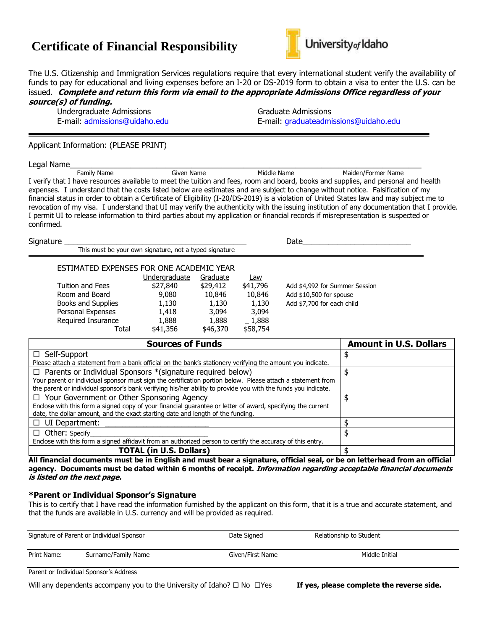# **Certificate of Financial Responsibility**



The U.S. Citizenship and Immigration Services regulations require that every international student verify the availability of funds to pay for educational and living expenses before an I-20 or DS-2019 form to obtain a visa to enter the U.S. can be issued. **Complete and return this form via email to the appropriate Admissions Office regardless of your source(s) of funding.**

Undergraduate Admissions and Graduate Admissions of the Graduate Admissions of the Graduate Admissions of the U

E-mail: [admissions@uidaho.edu](mailto:admissions@uidaho.edu) E-mail: [graduateadmissions@uidaho.edu](mailto:graduateadmissions@uidaho.edu)

#### Applicant Information: (PLEASE PRINT)

Legal Name\_\_\_\_\_\_\_\_\_\_\_\_\_\_\_\_\_\_\_\_\_\_\_\_\_\_\_\_\_\_\_\_\_\_\_\_\_\_\_\_\_\_\_\_\_\_\_\_\_\_\_\_\_\_\_\_\_\_\_\_\_\_\_\_\_\_\_\_\_\_\_\_\_\_\_\_\_\_\_\_\_ Family Name Given Name Middle Name Maiden/Former Name I verify that I have resources available to meet the tuition and fees, room and board, books and supplies, and personal and health expenses. I understand that the costs listed below are estimates and are subject to change without notice. Falsification of my financial status in order to obtain a Certificate of Eligibility (I-20/DS-2019) is a violation of United States law and may subject me to revocation of my visa. I understand that UI may verify the authenticity with the issuing institution of any documentation that I provide. I permit UI to release information to third parties about my application or financial records if misrepresentation is suspected or confirmed.

Signature \_\_\_\_\_\_\_\_\_\_\_\_\_\_\_\_\_\_\_\_\_\_\_\_\_\_\_\_\_\_\_\_\_\_\_\_\_\_\_\_\_\_ Date\_\_\_\_\_\_\_\_\_\_\_\_\_\_\_\_\_\_\_\_\_\_\_\_\_ This must be your own signature, not a typed signature ESTIMATED EXPENSES FOR ONE ACADEMIC YEAR Undergraduate Graduate Law Tuition and Fees \$27,840 \$29,412 \$41,796 Add \$4,992 for Summer Session Room and Board 9,080 10,846 10,846 Add \$10,500 for spouse Books and Supplies 1,130 1,130 1,130 Add \$7,700 for each child Personal Expenses 1,418 3,094 3,094 Required Insurance 1,888 1,888 1,888 Total \$41,356 \$46,370 \$58,754

| <b>Sources of Funds</b>                                                                                       | <b>Amount in U.S. Dollars</b> |
|---------------------------------------------------------------------------------------------------------------|-------------------------------|
| $\Box$ Self-Support                                                                                           |                               |
| Please attach a statement from a bank official on the bank's stationery verifying the amount you indicate.    |                               |
| $\Box$ Parents or Individual Sponsors *(signature required below)                                             |                               |
| Your parent or individual sponsor must sign the certification portion below. Please attach a statement from   |                               |
| the parent or individual sponsor's bank verifying his/her ability to provide you with the funds you indicate. |                               |
| $\Box$ Your Government or Other Sponsoring Agency                                                             |                               |
| Enclose with this form a signed copy of your financial guarantee or letter of award, specifying the current   |                               |
| date, the dollar amount, and the exact starting date and length of the funding.                               |                               |
| $\Box$ UI Department:                                                                                         |                               |
| $\Box$ Other: Specify                                                                                         |                               |
| Enclose with this form a signed affidavit from an authorized person to certify the accuracy of this entry.    |                               |
| <b>TOTAL (in U.S. Dollars)</b>                                                                                |                               |

**All financial documents must be in English and must bear a signature, official seal, or be on letterhead from an official agency. Documents must be dated within 6 months of receipt. Information regarding acceptable financial documents is listed on the next page.** 

#### **\*Parent or Individual Sponsor's Signature**

This is to certify that I have read the information furnished by the applicant on this form, that it is a true and accurate statement, and that the funds are available in U.S. currency and will be provided as required.

|             | Signature of Parent or Individual Sponsor | Date Signed      | Relationship to Student |  |
|-------------|-------------------------------------------|------------------|-------------------------|--|
| Print Name: | Surname/Family Name                       | Given/First Name | Middle Initial          |  |
|             | Parent or Individual Sponsor's Address    |                  |                         |  |

Will any dependents accompany you to the University of Idaho?  $\Box$  No  $\Box$ Yes **If yes, please complete the reverse side.**